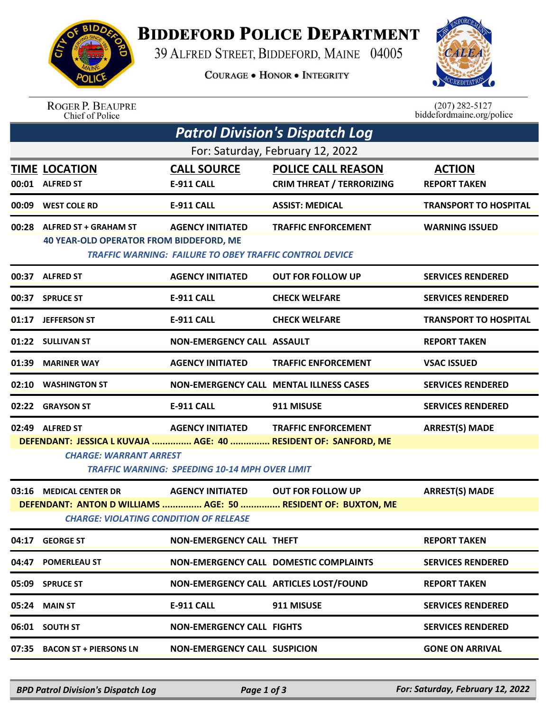

## **BIDDEFORD POLICE DEPARTMENT**

39 ALFRED STREET, BIDDEFORD, MAINE 04005

**COURAGE . HONOR . INTEGRITY** 



ROGER P. BEAUPRE<br>Chief of Police

 $(207)$  282-5127<br>biddefordmaine.org/police

| Patrol Division's Dispatch Log                                                                                                                                                                                                                                |                                                                               |                                                                                    |                                                                                           |                                      |  |  |  |  |
|---------------------------------------------------------------------------------------------------------------------------------------------------------------------------------------------------------------------------------------------------------------|-------------------------------------------------------------------------------|------------------------------------------------------------------------------------|-------------------------------------------------------------------------------------------|--------------------------------------|--|--|--|--|
| For: Saturday, February 12, 2022                                                                                                                                                                                                                              |                                                                               |                                                                                    |                                                                                           |                                      |  |  |  |  |
|                                                                                                                                                                                                                                                               | <b>TIME LOCATION</b><br>00:01 ALFRED ST                                       | <b>CALL SOURCE</b><br>E-911 CALL                                                   | <b>POLICE CALL REASON</b><br><b>CRIM THREAT / TERRORIZING</b>                             | <b>ACTION</b><br><b>REPORT TAKEN</b> |  |  |  |  |
| 00:09                                                                                                                                                                                                                                                         | <b>WEST COLE RD</b>                                                           | <b>E-911 CALL</b>                                                                  | <b>ASSIST: MEDICAL</b>                                                                    | <b>TRANSPORT TO HOSPITAL</b>         |  |  |  |  |
|                                                                                                                                                                                                                                                               | 00:28 ALFRED ST + GRAHAM ST<br><b>40 YEAR-OLD OPERATOR FROM BIDDEFORD, ME</b> | <b>AGENCY INITIATED</b><br>TRAFFIC WARNING: FAILURE TO OBEY TRAFFIC CONTROL DEVICE | <b>TRAFFIC ENFORCEMENT</b>                                                                | <b>WARNING ISSUED</b>                |  |  |  |  |
|                                                                                                                                                                                                                                                               | 00:37 ALFRED ST                                                               | <b>AGENCY INITIATED</b>                                                            | <b>OUT FOR FOLLOW UP</b>                                                                  | <b>SERVICES RENDERED</b>             |  |  |  |  |
| 00:37                                                                                                                                                                                                                                                         | <b>SPRUCE ST</b>                                                              | <b>E-911 CALL</b>                                                                  | <b>CHECK WELFARE</b>                                                                      | <b>SERVICES RENDERED</b>             |  |  |  |  |
|                                                                                                                                                                                                                                                               | 01:17 JEFFERSON ST                                                            | <b>E-911 CALL</b>                                                                  | <b>CHECK WELFARE</b>                                                                      | <b>TRANSPORT TO HOSPITAL</b>         |  |  |  |  |
|                                                                                                                                                                                                                                                               | 01:22 SULLIVAN ST                                                             | <b>NON-EMERGENCY CALL ASSAULT</b>                                                  |                                                                                           | <b>REPORT TAKEN</b>                  |  |  |  |  |
| 01:39                                                                                                                                                                                                                                                         | <b>MARINER WAY</b>                                                            | <b>AGENCY INITIATED</b>                                                            | <b>TRAFFIC ENFORCEMENT</b>                                                                | <b>VSAC ISSUED</b>                   |  |  |  |  |
|                                                                                                                                                                                                                                                               | 02:10 WASHINGTON ST                                                           |                                                                                    | <b>NON-EMERGENCY CALL MENTAL ILLNESS CASES</b>                                            | <b>SERVICES RENDERED</b>             |  |  |  |  |
|                                                                                                                                                                                                                                                               | 02:22 GRAYSON ST                                                              | E-911 CALL                                                                         | 911 MISUSE                                                                                | <b>SERVICES RENDERED</b>             |  |  |  |  |
| 02:49 ALFRED ST<br><b>AGENCY INITIATED</b><br><b>TRAFFIC ENFORCEMENT</b><br><b>ARREST(S) MADE</b><br>DEFENDANT: JESSICA L KUVAJA  AGE: 40  RESIDENT OF: SANFORD, ME<br><b>CHARGE: WARRANT ARREST</b><br><b>TRAFFIC WARNING: SPEEDING 10-14 MPH OVER LIMIT</b> |                                                                               |                                                                                    |                                                                                           |                                      |  |  |  |  |
|                                                                                                                                                                                                                                                               | 03:16 MEDICAL CENTER DR<br><b>CHARGE: VIOLATING CONDITION OF RELEASE</b>      | <b>AGENCY INITIATED</b>                                                            | <b>OUT FOR FOLLOW UP</b><br>DEFENDANT: ANTON D WILLIAMS  AGE: 50  RESIDENT OF: BUXTON, ME | <b>ARREST(S) MADE</b>                |  |  |  |  |
|                                                                                                                                                                                                                                                               | 04:17 GEORGE ST                                                               | <b>NON-EMERGENCY CALL THEFT</b>                                                    |                                                                                           | <b>REPORT TAKEN</b>                  |  |  |  |  |
|                                                                                                                                                                                                                                                               | 04:47 POMERLEAU ST                                                            |                                                                                    | NON-EMERGENCY CALL DOMESTIC COMPLAINTS                                                    | <b>SERVICES RENDERED</b>             |  |  |  |  |
|                                                                                                                                                                                                                                                               | 05:09 SPRUCE ST                                                               |                                                                                    | NON-EMERGENCY CALL ARTICLES LOST/FOUND                                                    | <b>REPORT TAKEN</b>                  |  |  |  |  |
|                                                                                                                                                                                                                                                               | 05:24 MAIN ST                                                                 | E-911 CALL                                                                         | 911 MISUSE                                                                                | <b>SERVICES RENDERED</b>             |  |  |  |  |
|                                                                                                                                                                                                                                                               | 06:01 SOUTH ST                                                                | <b>NON-EMERGENCY CALL FIGHTS</b>                                                   |                                                                                           | <b>SERVICES RENDERED</b>             |  |  |  |  |
|                                                                                                                                                                                                                                                               |                                                                               |                                                                                    |                                                                                           |                                      |  |  |  |  |
|                                                                                                                                                                                                                                                               | 07:35 BACON ST + PIERSONS LN                                                  | <b>NON-EMERGENCY CALL SUSPICION</b>                                                |                                                                                           | <b>GONE ON ARRIVAL</b>               |  |  |  |  |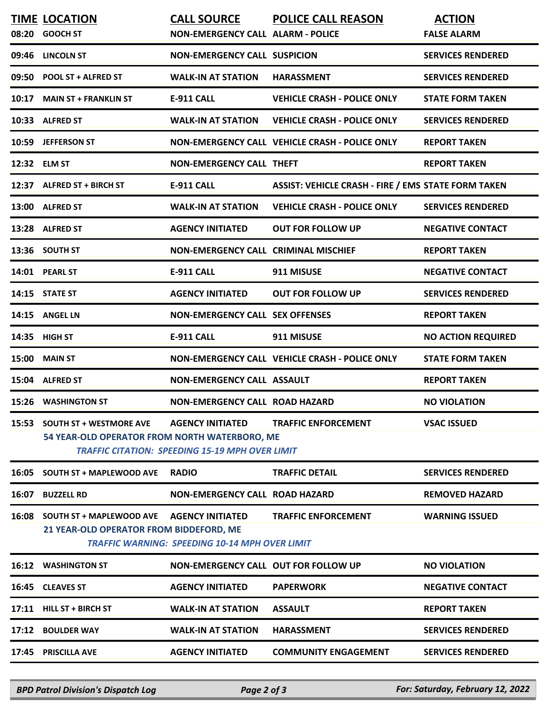|       | <b>TIME LOCATION</b><br>08:20 GOOCH ST                                         | <b>CALL SOURCE</b><br><b>NON-EMERGENCY CALL ALARM - POLICE</b>                    | <b>POLICE CALL REASON</b>                                  | <b>ACTION</b><br><b>FALSE ALARM</b> |
|-------|--------------------------------------------------------------------------------|-----------------------------------------------------------------------------------|------------------------------------------------------------|-------------------------------------|
| 09:46 | <b>LINCOLN ST</b>                                                              | <b>NON-EMERGENCY CALL SUSPICION</b>                                               |                                                            | <b>SERVICES RENDERED</b>            |
|       | 09:50 POOL ST + ALFRED ST                                                      | <b>WALK-IN AT STATION</b>                                                         | <b>HARASSMENT</b>                                          | <b>SERVICES RENDERED</b>            |
| 10:17 | <b>MAIN ST + FRANKLIN ST</b>                                                   | <b>E-911 CALL</b>                                                                 | <b>VEHICLE CRASH - POLICE ONLY</b>                         | <b>STATE FORM TAKEN</b>             |
|       | 10:33 ALFRED ST                                                                | <b>WALK-IN AT STATION</b>                                                         | <b>VEHICLE CRASH - POLICE ONLY</b>                         | <b>SERVICES RENDERED</b>            |
| 10:59 | <b>JEFFERSON ST</b>                                                            |                                                                                   | NON-EMERGENCY CALL VEHICLE CRASH - POLICE ONLY             | <b>REPORT TAKEN</b>                 |
|       | 12:32 ELM ST                                                                   | <b>NON-EMERGENCY CALL THEFT</b>                                                   |                                                            | <b>REPORT TAKEN</b>                 |
|       | 12:37 ALFRED ST + BIRCH ST                                                     | <b>E-911 CALL</b>                                                                 | <b>ASSIST: VEHICLE CRASH - FIRE / EMS STATE FORM TAKEN</b> |                                     |
|       | 13:00 ALFRED ST                                                                | <b>WALK-IN AT STATION</b>                                                         | <b>VEHICLE CRASH - POLICE ONLY</b>                         | <b>SERVICES RENDERED</b>            |
|       | 13:28 ALFRED ST                                                                | <b>AGENCY INITIATED</b>                                                           | <b>OUT FOR FOLLOW UP</b>                                   | <b>NEGATIVE CONTACT</b>             |
|       | 13:36 SOUTH ST                                                                 | <b>NON-EMERGENCY CALL CRIMINAL MISCHIEF</b>                                       |                                                            | <b>REPORT TAKEN</b>                 |
|       | 14:01 PEARL ST                                                                 | E-911 CALL                                                                        | 911 MISUSE                                                 | <b>NEGATIVE CONTACT</b>             |
|       | 14:15 STATE ST                                                                 | <b>AGENCY INITIATED</b>                                                           | <b>OUT FOR FOLLOW UP</b>                                   | <b>SERVICES RENDERED</b>            |
| 14:15 | <b>ANGEL LN</b>                                                                | <b>NON-EMERGENCY CALL SEX OFFENSES</b>                                            |                                                            | <b>REPORT TAKEN</b>                 |
|       | 14:35 HIGH ST                                                                  | <b>E-911 CALL</b>                                                                 | 911 MISUSE                                                 | <b>NO ACTION REQUIRED</b>           |
|       | <b>15:00 MAIN ST</b>                                                           |                                                                                   | NON-EMERGENCY CALL VEHICLE CRASH - POLICE ONLY             | <b>STATE FORM TAKEN</b>             |
|       | 15:04 ALFRED ST                                                                | <b>NON-EMERGENCY CALL ASSAULT</b>                                                 |                                                            | <b>REPORT TAKEN</b>                 |
|       | 15:26 WASHINGTON ST                                                            | <b>NON-EMERGENCY CALL ROAD HAZARD</b>                                             |                                                            | <b>NO VIOLATION</b>                 |
|       | 15:53 SOUTH ST + WESTMORE AVE<br>54 YEAR-OLD OPERATOR FROM NORTH WATERBORO, ME | <b>AGENCY INITIATED</b><br><b>TRAFFIC CITATION: SPEEDING 15-19 MPH OVER LIMIT</b> | <b>TRAFFIC ENFORCEMENT</b>                                 | <b>VSAC ISSUED</b>                  |
| 16:05 | <b>SOUTH ST + MAPLEWOOD AVE</b>                                                | <b>RADIO</b>                                                                      | <b>TRAFFIC DETAIL</b>                                      | <b>SERVICES RENDERED</b>            |
| 16:07 | <b>BUZZELL RD</b>                                                              | <b>NON-EMERGENCY CALL ROAD HAZARD</b>                                             |                                                            | <b>REMOVED HAZARD</b>               |
|       | 16:08 SOUTH ST + MAPLEWOOD AVE<br>21 YEAR-OLD OPERATOR FROM BIDDEFORD, ME      | <b>AGENCY INITIATED</b><br><b>TRAFFIC WARNING: SPEEDING 10-14 MPH OVER LIMIT</b>  | <b>TRAFFIC ENFORCEMENT</b>                                 | <b>WARNING ISSUED</b>               |
| 16:12 | <b>WASHINGTON ST</b>                                                           | <b>NON-EMERGENCY CALL OUT FOR FOLLOW UP</b>                                       |                                                            | <b>NO VIOLATION</b>                 |
|       | 16:45 CLEAVES ST                                                               | <b>AGENCY INITIATED</b>                                                           | <b>PAPERWORK</b>                                           | <b>NEGATIVE CONTACT</b>             |
|       | 17:11 HILL ST + BIRCH ST                                                       | <b>WALK-IN AT STATION</b>                                                         | <b>ASSAULT</b>                                             | <b>REPORT TAKEN</b>                 |
|       | 17:12 BOULDER WAY                                                              | <b>WALK-IN AT STATION</b>                                                         | <b>HARASSMENT</b>                                          | <b>SERVICES RENDERED</b>            |
|       | 17:45 PRISCILLA AVE                                                            | <b>AGENCY INITIATED</b>                                                           | <b>COMMUNITY ENGAGEMENT</b>                                | <b>SERVICES RENDERED</b>            |

*BPD Patrol Division's Dispatch Log Page 2 of 3 For: Saturday, February 12, 2022*